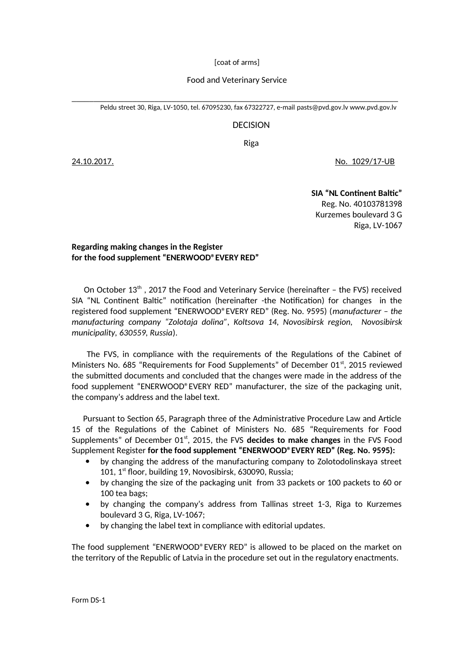[coat of arms]

## Food and Veterinary Service

\_\_\_\_\_\_\_\_\_\_\_\_\_\_\_\_\_\_\_\_\_\_\_\_\_\_\_\_\_\_\_\_\_\_\_\_\_\_\_\_\_\_\_\_\_\_\_\_\_\_\_\_\_\_\_\_\_\_\_\_\_\_\_\_\_\_\_\_\_\_\_\_\_\_\_ Peldu street 30, Riga, LV-1050, tel. 67095230, fax 67322727, e-mail [pasts@pvd.gov](mailto:pasts@pvd.gov).lv [www.pvd.gov.lv](http://www.pvd.gov.lv/)

## DECISION

Riga

24.10.2017. No. 1029/17-UB

**SIA "NL Continent Baltic"** Reg. No. 40103781398 Kurzemes boulevard 3 G Riga, LV-1067

## **Regarding making changes in the Register for the food supplement "ENERWOOD®EVERY RED"**

On October  $13<sup>th</sup>$ , 2017 the Food and Veterinary Service (hereinafter – the FVS) received SIA "NL Continent Baltic" notification (hereinafter -the Notification) for changes in the registered food supplement "ENERWOOD®EVERY RED" (Reg. No. 9595) (*manufacturer – the manufacturing company "Zolotaja dolina", Koltsova 14, Novosibirsk region, Novosibirsk municipality, 630559, Russia*).

 The FVS, in compliance with the requirements of the Regulations of the Cabinet of Ministers No. 685 "Requirements for Food Supplements" of December 01<sup>st</sup>, 2015 reviewed the submitted documents and concluded that the changes were made in the address of the food supplement "ENERWOOD®EVERY RED" manufacturer, the size of the packaging unit, the company's address and the label text.

 Pursuant to Section 65, Paragraph three of the Administrative Procedure Law and Article 15 of the Regulations of the Cabinet of Ministers No. 685 "Requirements for Food Supplements" of December 01<sup>st</sup>, 2015, the FVS decides to make changes in the FVS Food Supplement Register **for the food supplement "ENERWOOD®EVERY RED" (Reg. No. 9595):**

- by changing the address of the manufacturing company to Zolotodolinskaya street 101, 1<sup>st</sup> floor, building 19, Novosibirsk, 630090, Russia;
- by changing the size of the packaging unit from 33 packets or 100 packets to 60 or 100 tea bags;
- by changing the company's address from Tallinas street 1-3, Riga to Kurzemes boulevard 3 G, Riga, LV-1067;
- by changing the label text in compliance with editorial updates.

The food supplement "ENERWOOD®EVERY RED" is allowed to be placed on the market on the territory of the Republic of Latvia in the procedure set out in the regulatory enactments.